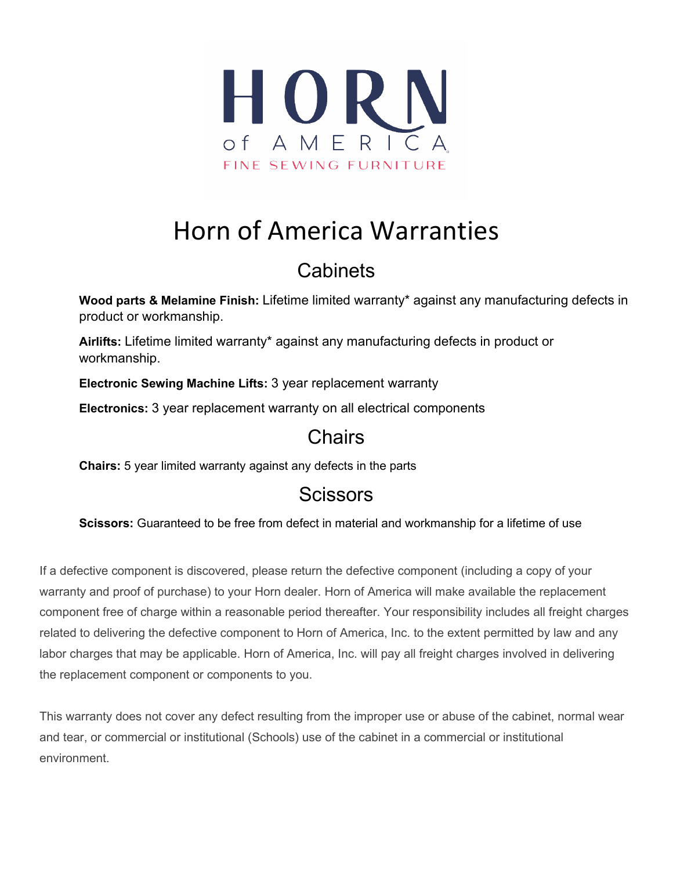

# Horn of America Warranties

## **Cabinets**

**Wood parts & Melamine Finish:** Lifetime limited warranty\* against any manufacturing defects in product or workmanship.

**Airlifts:** Lifetime limited warranty\* against any manufacturing defects in product or workmanship.

**Electronic Sewing Machine Lifts:** 3 year replacement warranty

**Electronics:** 3 year replacement warranty on all electrical components

#### **Chairs**

**Chairs:** 5 year limited warranty against any defects in the parts

### **Scissors**

**Scissors:** Guaranteed to be free from defect in material and workmanship for a lifetime of use

If a defective component is discovered, please return the defective component (including a copy of your warranty and proof of purchase) to your Horn dealer. Horn of America will make available the replacement component free of charge within a reasonable period thereafter. Your responsibility includes all freight charges related to delivering the defective component to Horn of America, Inc. to the extent permitted by law and any labor charges that may be applicable. Horn of America, Inc. will pay all freight charges involved in delivering the replacement component or components to you.

This warranty does not cover any defect resulting from the improper use or abuse of the cabinet, normal wear and tear, or commercial or institutional (Schools) use of the cabinet in a commercial or institutional environment.